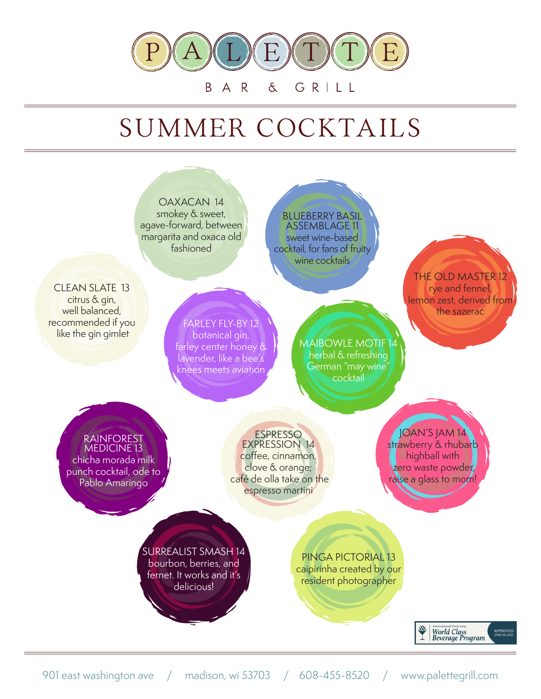

## B. A R  $\delta$ GRILL

## SUMMER COCKTAILS